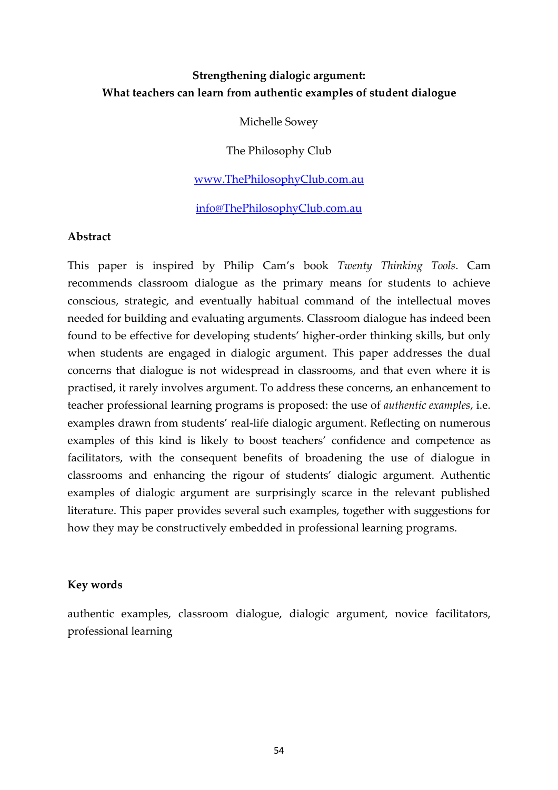# **Strengthening dialogic argument: What teachers can learn from authentic examples of student dialogue**

Michelle Sowey

The Philosophy Club

[www.ThePhilosophyClub.com.au](http://www.thephilosophyclub.com.au/)

[info@ThePhilosophyClub.com.au](mailto:info@ThePhilosophyClub.com.au)

#### **Abstract**

This paper is inspired by Philip Cam's book *Twenty Thinking Tools*. Cam recommends classroom dialogue as the primary means for students to achieve conscious, strategic, and eventually habitual command of the intellectual moves needed for building and evaluating arguments. Classroom dialogue has indeed been found to be effective for developing students' higher-order thinking skills, but only when students are engaged in dialogic argument. This paper addresses the dual concerns that dialogue is not widespread in classrooms, and that even where it is practised, it rarely involves argument. To address these concerns, an enhancement to teacher professional learning programs is proposed: the use of *authentic examples*, i.e. examples drawn from students' real-life dialogic argument. Reflecting on numerous examples of this kind is likely to boost teachers' confidence and competence as facilitators, with the consequent benefits of broadening the use of dialogue in classrooms and enhancing the rigour of students' dialogic argument. Authentic examples of dialogic argument are surprisingly scarce in the relevant published literature. This paper provides several such examples, together with suggestions for how they may be constructively embedded in professional learning programs.

#### **Key words**

authentic examples, classroom dialogue, dialogic argument, novice facilitators, professional learning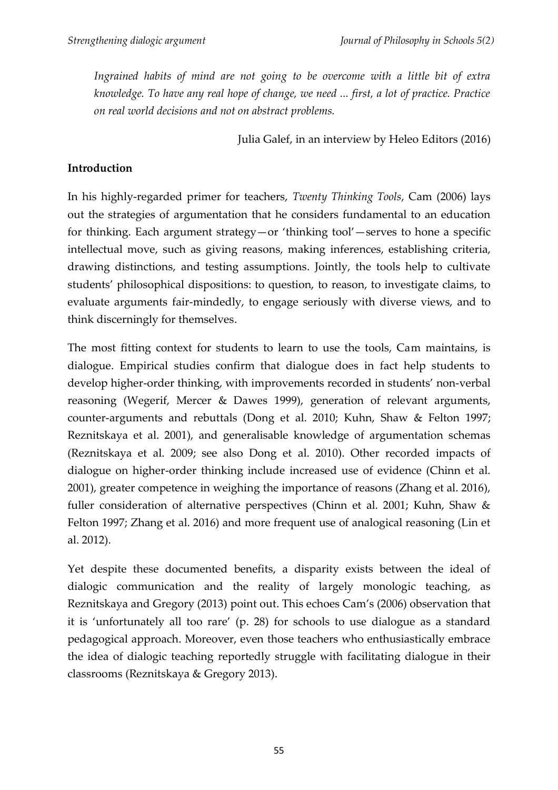*Ingrained habits of mind are not going to be overcome with a little bit of extra knowledge. To have any real hope of change, we need ... first, a lot of practice. Practice on real world decisions and not on abstract problems.*

Julia Galef, in an interview by Heleo Editors (2016)

## **Introduction**

In his highly-regarded primer for teachers, *Twenty Thinking Tools*, Cam (2006) lays out the strategies of argumentation that he considers fundamental to an education for thinking. Each argument strategy—or 'thinking tool'—serves to hone a specific intellectual move, such as giving reasons, making inferences, establishing criteria, drawing distinctions, and testing assumptions. Jointly, the tools help to cultivate students' philosophical dispositions: to question, to reason, to investigate claims, to evaluate arguments fair-mindedly, to engage seriously with diverse views, and to think discerningly for themselves.

The most fitting context for students to learn to use the tools, Cam maintains, is dialogue. Empirical studies confirm that dialogue does in fact help students to develop higher-order thinking, with improvements recorded in students' non-verbal reasoning (Wegerif, Mercer & Dawes 1999), generation of relevant arguments, counter-arguments and rebuttals (Dong et al. 2010; Kuhn, Shaw & Felton 1997; Reznitskaya et al. 2001), and generalisable knowledge of argumentation schemas (Reznitskaya et al. 2009; see also Dong et al. 2010). Other recorded impacts of dialogue on higher-order thinking include increased use of evidence (Chinn et al. 2001), greater competence in weighing the importance of reasons (Zhang et al. 2016), fuller consideration of alternative perspectives (Chinn et al. 2001; Kuhn, Shaw & Felton 1997; Zhang et al. 2016) and more frequent use of analogical reasoning (Lin et al. 2012).

Yet despite these documented benefits, a disparity exists between the ideal of dialogic communication and the reality of largely monologic teaching, as Reznitskaya and Gregory (2013) point out. This echoes Cam's (2006) observation that it is 'unfortunately all too rare' (p. 28) for schools to use dialogue as a standard pedagogical approach. Moreover, even those teachers who enthusiastically embrace the idea of dialogic teaching reportedly struggle with facilitating dialogue in their classrooms (Reznitskaya & Gregory 2013).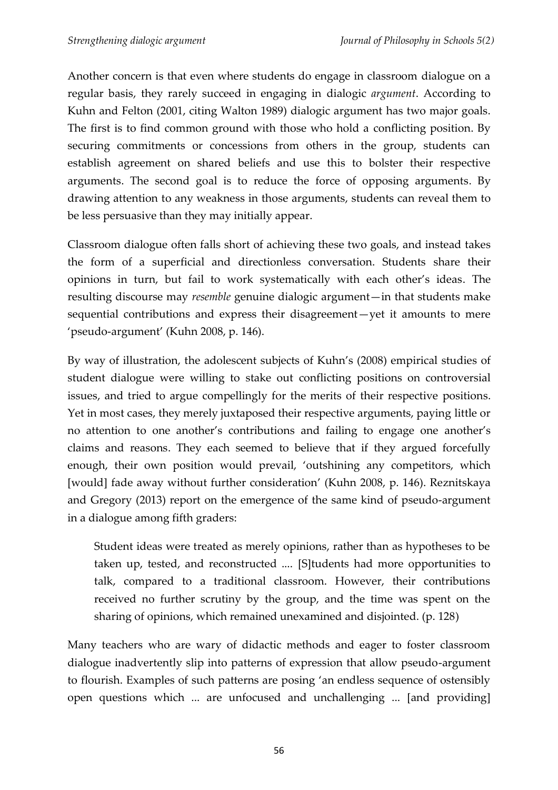Another concern is that even where students do engage in classroom dialogue on a regular basis, they rarely succeed in engaging in dialogic *argument*. According to Kuhn and Felton (2001, citing Walton 1989) dialogic argument has two major goals. The first is to find common ground with those who hold a conflicting position. By securing commitments or concessions from others in the group, students can establish agreement on shared beliefs and use this to bolster their respective arguments. The second goal is to reduce the force of opposing arguments. By drawing attention to any weakness in those arguments, students can reveal them to be less persuasive than they may initially appear.

Classroom dialogue often falls short of achieving these two goals, and instead takes the form of a superficial and directionless conversation. Students share their opinions in turn, but fail to work systematically with each other's ideas. The resulting discourse may *resemble* genuine dialogic argument—in that students make sequential contributions and express their disagreement—yet it amounts to mere 'pseudo-argument' (Kuhn 2008, p. 146).

By way of illustration, the adolescent subjects of Kuhn's (2008) empirical studies of student dialogue were willing to stake out conflicting positions on controversial issues, and tried to argue compellingly for the merits of their respective positions. Yet in most cases, they merely juxtaposed their respective arguments, paying little or no attention to one another's contributions and failing to engage one another's claims and reasons. They each seemed to believe that if they argued forcefully enough, their own position would prevail, 'outshining any competitors, which [would] fade away without further consideration' (Kuhn 2008, p. 146). Reznitskaya and Gregory (2013) report on the emergence of the same kind of pseudo-argument in a dialogue among fifth graders:

Student ideas were treated as merely opinions, rather than as hypotheses to be taken up, tested, and reconstructed .... [S]tudents had more opportunities to talk, compared to a traditional classroom. However, their contributions received no further scrutiny by the group, and the time was spent on the sharing of opinions, which remained unexamined and disjointed. (p. 128)

Many teachers who are wary of didactic methods and eager to foster classroom dialogue inadvertently slip into patterns of expression that allow pseudo-argument to flourish. Examples of such patterns are posing 'an endless sequence of ostensibly open questions which ... are unfocused and unchallenging ... [and providing]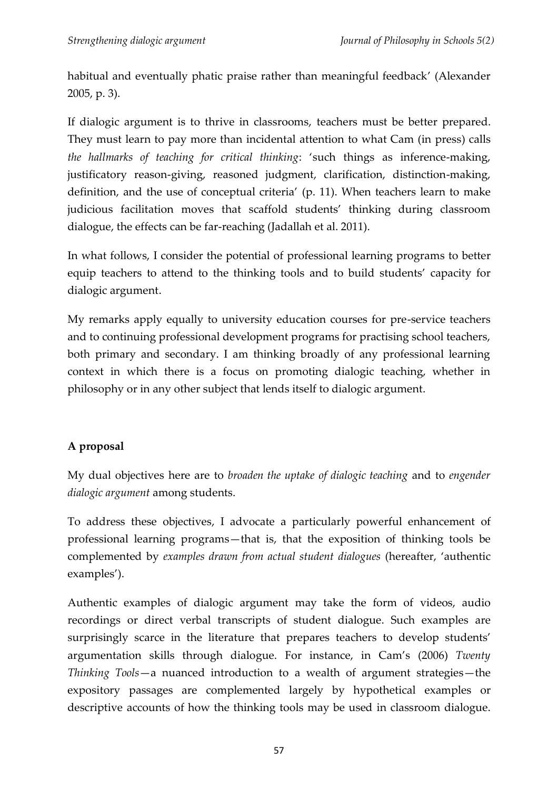habitual and eventually phatic praise rather than meaningful feedback' (Alexander 2005, p. 3).

If dialogic argument is to thrive in classrooms, teachers must be better prepared. They must learn to pay more than incidental attention to what Cam (in press) calls *the hallmarks of teaching for critical thinking*: 'such things as inference-making, justificatory reason-giving, reasoned judgment, clarification, distinction-making, definition, and the use of conceptual criteria' (p. 11). When teachers learn to make judicious facilitation moves that scaffold students' thinking during classroom dialogue, the effects can be far-reaching (Jadallah et al. 2011).

In what follows, I consider the potential of professional learning programs to better equip teachers to attend to the thinking tools and to build students' capacity for dialogic argument.

My remarks apply equally to university education courses for pre-service teachers and to continuing professional development programs for practising school teachers, both primary and secondary. I am thinking broadly of any professional learning context in which there is a focus on promoting dialogic teaching, whether in philosophy or in any other subject that lends itself to dialogic argument.

# **A proposal**

My dual objectives here are to *broaden the uptake of dialogic teaching* and to *engender dialogic argument* among students.

To address these objectives, I advocate a particularly powerful enhancement of professional learning programs—that is, that the exposition of thinking tools be complemented by *examples drawn from actual student dialogues* (hereafter, 'authentic examples').

Authentic examples of dialogic argument may take the form of videos, audio recordings or direct verbal transcripts of student dialogue. Such examples are surprisingly scarce in the literature that prepares teachers to develop students' argumentation skills through dialogue. For instance, in Cam's (2006) *Twenty Thinking Tools*—a nuanced introduction to a wealth of argument strategies—the expository passages are complemented largely by hypothetical examples or descriptive accounts of how the thinking tools may be used in classroom dialogue.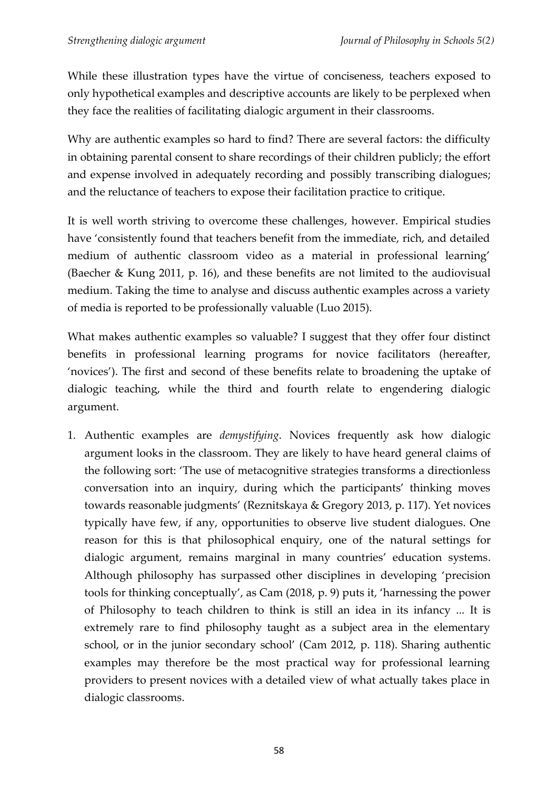While these illustration types have the virtue of conciseness, teachers exposed to only hypothetical examples and descriptive accounts are likely to be perplexed when they face the realities of facilitating dialogic argument in their classrooms.

Why are authentic examples so hard to find? There are several factors: the difficulty in obtaining parental consent to share recordings of their children publicly; the effort and expense involved in adequately recording and possibly transcribing dialogues; and the reluctance of teachers to expose their facilitation practice to critique.

It is well worth striving to overcome these challenges, however. Empirical studies have 'consistently found that teachers benefit from the immediate, rich, and detailed medium of authentic classroom video as a material in professional learning' (Baecher & Kung 2011, p. 16), and these benefits are not limited to the audiovisual medium. Taking the time to analyse and discuss authentic examples across a variety of media is reported to be professionally valuable (Luo 2015).

What makes authentic examples so valuable? I suggest that they offer four distinct benefits in professional learning programs for novice facilitators (hereafter, 'novices'). The first and second of these benefits relate to broadening the uptake of dialogic teaching, while the third and fourth relate to engendering dialogic argument.

1. Authentic examples are *demystifying*. Novices frequently ask how dialogic argument looks in the classroom. They are likely to have heard general claims of the following sort: 'The use of metacognitive strategies transforms a directionless conversation into an inquiry, during which the participants' thinking moves towards reasonable judgments' (Reznitskaya & Gregory 2013, p. 117). Yet novices typically have few, if any, opportunities to observe live student dialogues. One reason for this is that philosophical enquiry, one of the natural settings for dialogic argument, remains marginal in many countries' education systems. Although philosophy has surpassed other disciplines in developing 'precision tools for thinking conceptually', as Cam (2018, p. 9) puts it, 'harnessing the power of Philosophy to teach children to think is still an idea in its infancy ... It is extremely rare to find philosophy taught as a subject area in the elementary school, or in the junior secondary school' (Cam 2012, p. 118). Sharing authentic examples may therefore be the most practical way for professional learning providers to present novices with a detailed view of what actually takes place in dialogic classrooms.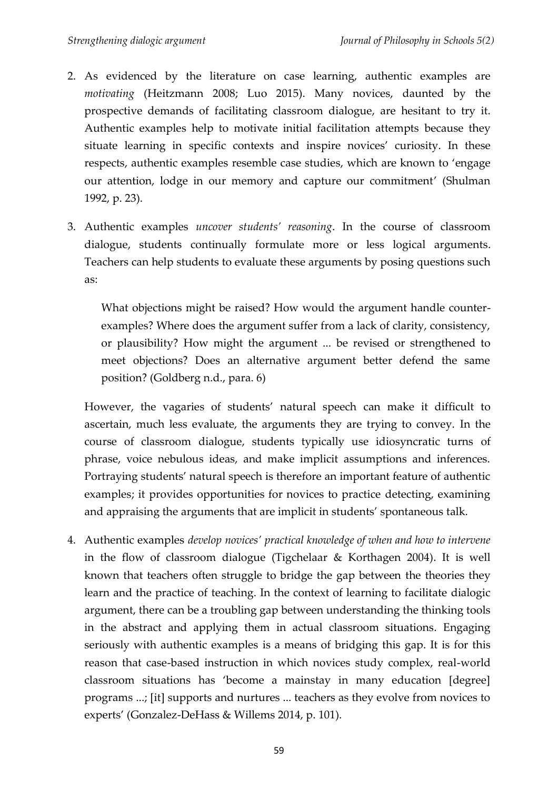- 2. As evidenced by the literature on case learning, authentic examples are *motivating* (Heitzmann 2008; Luo 2015). Many novices, daunted by the prospective demands of facilitating classroom dialogue, are hesitant to try it. Authentic examples help to motivate initial facilitation attempts because they situate learning in specific contexts and inspire novices' curiosity. In these respects, authentic examples resemble case studies, which are known to 'engage our attention, lodge in our memory and capture our commitment' (Shulman 1992, p. 23).
- 3. Authentic examples *uncover students' reasoning*. In the course of classroom dialogue, students continually formulate more or less logical arguments. Teachers can help students to evaluate these arguments by posing questions such as:

What objections might be raised? How would the argument handle counterexamples? Where does the argument suffer from a lack of clarity, consistency, or plausibility? How might the argument ... be revised or strengthened to meet objections? Does an alternative argument better defend the same position? (Goldberg n.d., para. 6)

However, the vagaries of students' natural speech can make it difficult to ascertain, much less evaluate, the arguments they are trying to convey. In the course of classroom dialogue, students typically use idiosyncratic turns of phrase, voice nebulous ideas, and make implicit assumptions and inferences. Portraying students' natural speech is therefore an important feature of authentic examples; it provides opportunities for novices to practice detecting, examining and appraising the arguments that are implicit in students' spontaneous talk.

4. Authentic examples *develop novices' practical knowledge of when and how to intervene* in the flow of classroom dialogue (Tigchelaar & Korthagen 2004). It is well known that teachers often struggle to bridge the gap between the theories they learn and the practice of teaching. In the context of learning to facilitate dialogic argument, there can be a troubling gap between understanding the thinking tools in the abstract and applying them in actual classroom situations. Engaging seriously with authentic examples is a means of bridging this gap. It is for this reason that case-based instruction in which novices study complex, real-world classroom situations has 'become a mainstay in many education [degree] programs ...; [it] supports and nurtures ... teachers as they evolve from novices to experts' (Gonzalez-DeHass & Willems 2014, p. 101).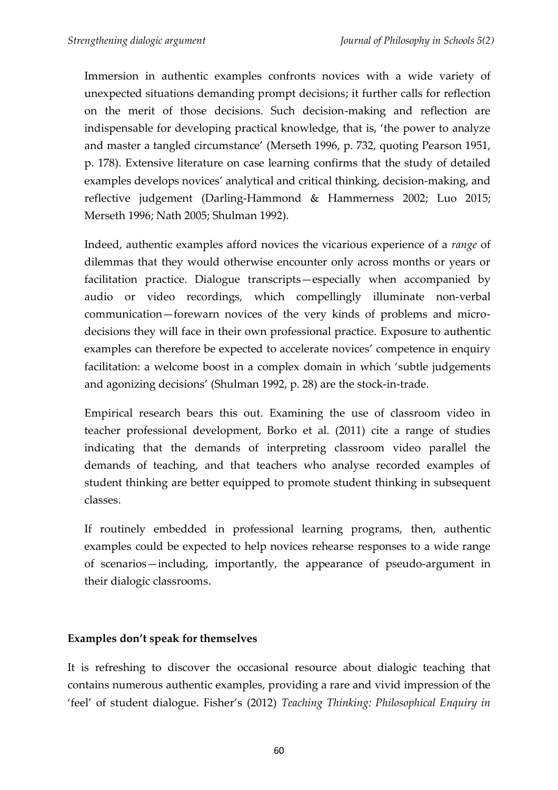Immersion in authentic examples confronts novices with a wide variety of unexpected situations demanding prompt decisions; it further calls for reflection on the merit of those decisions. Such decision-making and reflection are indispensable for developing practical knowledge, that is, 'the power to analyze and master a tangled circumstance' (Merseth 1996, p. 732, quoting Pearson 1951, p. 178). Extensive literature on case learning confirms that the study of detailed examples develops novices' analytical and critical thinking, decision-making, and reflective judgement (Darling-Hammond & Hammerness 2002; Luo 2015; Merseth 1996; Nath 2005; Shulman 1992).

Indeed, authentic examples afford novices the vicarious experience of a *range* of dilemmas that they would otherwise encounter only across months or years or facilitation practice. Dialogue transcripts—especially when accompanied by audio or video recordings, which compellingly illuminate non-verbal communication—forewarn novices of the very kinds of problems and microdecisions they will face in their own professional practice. Exposure to authentic examples can therefore be expected to accelerate novices' competence in enquiry facilitation: a welcome boost in a complex domain in which 'subtle judgements and agonizing decisions' (Shulman 1992, p. 28) are the stock-in-trade.

Empirical research bears this out. Examining the use of classroom video in teacher professional development, Borko et al. (2011) cite a range of studies indicating that the demands of interpreting classroom video parallel the demands of teaching, and that teachers who analyse recorded examples of student thinking are better equipped to promote student thinking in subsequent classes.

If routinely embedded in professional learning programs, then, authentic examples could be expected to help novices rehearse responses to a wide range of scenarios—including, importantly, the appearance of pseudo-argument in their dialogic classrooms.

### **Examples don't speak for themselves**

It is refreshing to discover the occasional resource about dialogic teaching that contains numerous authentic examples, providing a rare and vivid impression of the 'feel' of student dialogue. Fisher's (2012) *Teaching Thinking: Philosophical Enquiry in*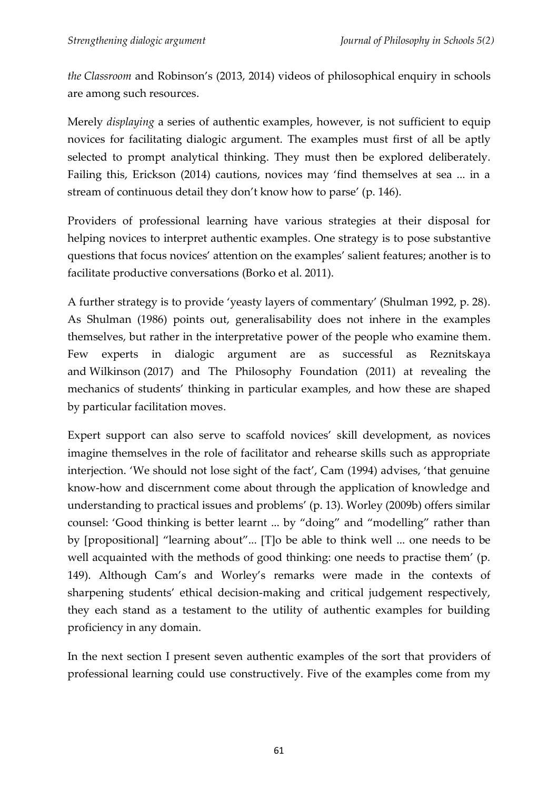*the Classroom* and Robinson's (2013, 2014) videos of philosophical enquiry in schools are among such resources.

Merely *displaying* a series of authentic examples, however, is not sufficient to equip novices for facilitating dialogic argument. The examples must first of all be aptly selected to prompt analytical thinking. They must then be explored deliberately. Failing this, Erickson (2014) cautions, novices may 'find themselves at sea ... in a stream of continuous detail they don't know how to parse' (p. 146).

Providers of professional learning have various strategies at their disposal for helping novices to interpret authentic examples. One strategy is to pose substantive questions that focus novices' attention on the examples' salient features; another is to facilitate productive conversations (Borko et al. 2011).

A further strategy is to provide 'yeasty layers of commentary' (Shulman 1992, p. 28). As Shulman (1986) points out, generalisability does not inhere in the examples themselves, but rather in the interpretative power of the people who examine them. Few experts in dialogic argument are as successful as Reznitskaya and Wilkinson (2017) and The Philosophy Foundation (2011) at revealing the mechanics of students' thinking in particular examples, and how these are shaped by particular facilitation moves.

Expert support can also serve to scaffold novices' skill development, as novices imagine themselves in the role of facilitator and rehearse skills such as appropriate interjection. 'We should not lose sight of the fact', Cam (1994) advises, 'that genuine know-how and discernment come about through the application of knowledge and understanding to practical issues and problems' (p. 13). Worley (2009b) offers similar counsel: 'Good thinking is better learnt ... by 'doing' and 'modelling' rather than by [propositional] "learning about"... [T]o be able to think well ... one needs to be well acquainted with the methods of good thinking: one needs to practise them' (p. 149). Although Cam's and Worley's remarks were made in the contexts of sharpening students' ethical decision-making and critical judgement respectively, they each stand as a testament to the utility of authentic examples for building proficiency in any domain.

In the next section I present seven authentic examples of the sort that providers of professional learning could use constructively. Five of the examples come from my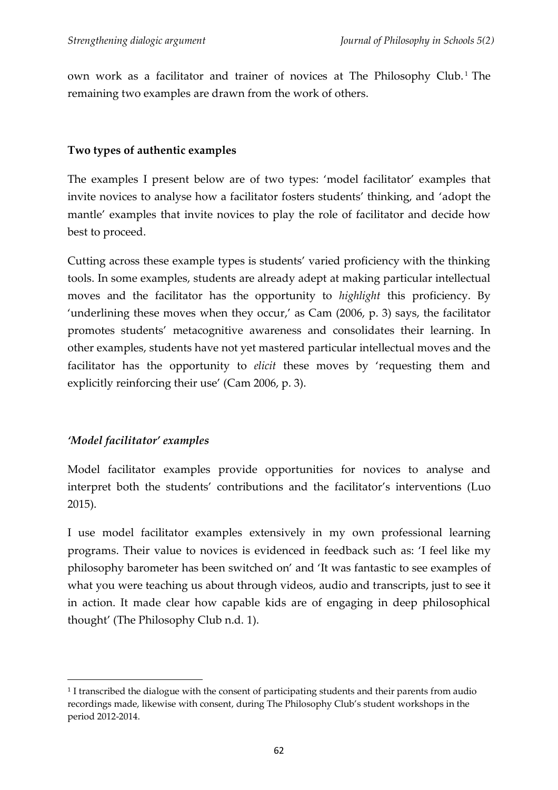own work as a facilitator and trainer of novices at The Philosophy Club. <sup>1</sup> The remaining two examples are drawn from the work of others.

### **Two types of authentic examples**

The examples I present below are of two types: 'model facilitator' examples that invite novices to analyse how a facilitator fosters students' thinking, and 'adopt the mantle' examples that invite novices to play the role of facilitator and decide how best to proceed.

Cutting across these example types is students' varied proficiency with the thinking tools. In some examples, students are already adept at making particular intellectual moves and the facilitator has the opportunity to *highlight* this proficiency. By 'underlining these moves when they occur,' as Cam (2006, p. 3) says, the facilitator promotes students' metacognitive awareness and consolidates their learning. In other examples, students have not yet mastered particular intellectual moves and the facilitator has the opportunity to *elicit* these moves by 'requesting them and explicitly reinforcing their use' (Cam 2006, p. 3).

## *'Model facilitator' examples*

 $\overline{\phantom{a}}$ 

Model facilitator examples provide opportunities for novices to analyse and interpret both the students' contributions and the facilitator's interventions (Luo 2015).

I use model facilitator examples extensively in my own professional learning programs. Their value to novices is evidenced in feedback such as: 'I feel like my philosophy barometer has been switched on' and 'It was fantastic to see examples of what you were teaching us about through videos, audio and transcripts, just to see it in action. It made clear how capable kids are of engaging in deep philosophical thought' (The Philosophy Club n.d. 1).

<sup>1</sup> I transcribed the dialogue with the consent of participating students and their parents from audio recordings made, likewise with consent, during The Philosophy Club's student workshops in the period 2012-2014.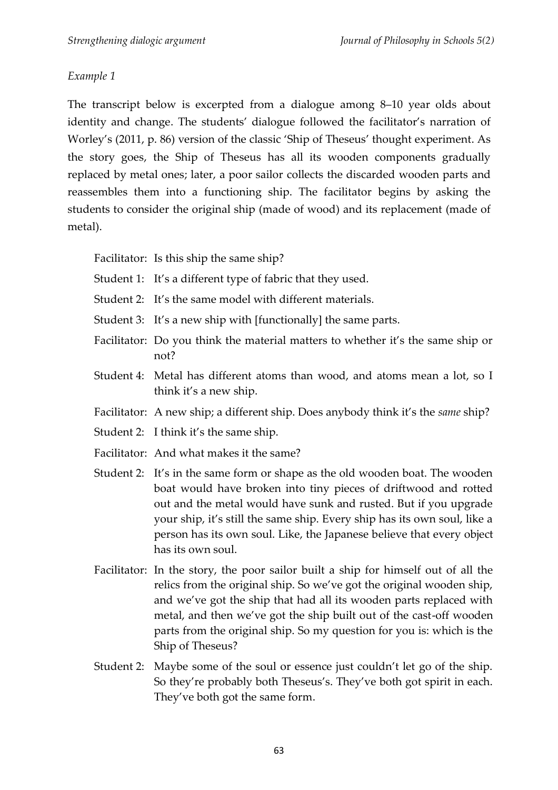### *Example 1*

The transcript below is excerpted from a dialogue among 8–10 year olds about identity and change. The students' dialogue followed the facilitator's narration of Worley's (2011, p. 86) version of the classic 'Ship of Theseus' thought experiment. As the story goes, the Ship of Theseus has all its wooden components gradually replaced by metal ones; later, a poor sailor collects the discarded wooden parts and reassembles them into a functioning ship. The facilitator begins by asking the students to consider the original ship (made of wood) and its replacement (made of metal).

Facilitator: Is this ship the same ship?

- Student 1: It's a different type of fabric that they used.
- Student 2: It's the same model with different materials.
- Student 3: It's a new ship with [functionally] the same parts.
- Facilitator: Do you think the material matters to whether it's the same ship or not?
- Student 4: Metal has different atoms than wood, and atoms mean a lot, so I think it's a new ship.
- Facilitator: A new ship; a different ship. Does anybody think it's the *same* ship?
- Student 2: I think it's the same ship.
- Facilitator: And what makes it the same?
- Student 2: It's in the same form or shape as the old wooden boat. The wooden boat would have broken into tiny pieces of driftwood and rotted out and the metal would have sunk and rusted. But if you upgrade your ship, it's still the same ship. Every ship has its own soul, like a person has its own soul. Like, the Japanese believe that every object has its own soul.
- Facilitator: In the story, the poor sailor built a ship for himself out of all the relics from the original ship. So we've got the original wooden ship, and we've got the ship that had all its wooden parts replaced with metal, and then we've got the ship built out of the cast-off wooden parts from the original ship. So my question for you is: which is the Ship of Theseus?
- Student 2: Maybe some of the soul or essence just couldn't let go of the ship. So they're probably both Theseus's. They've both got spirit in each. They've both got the same form.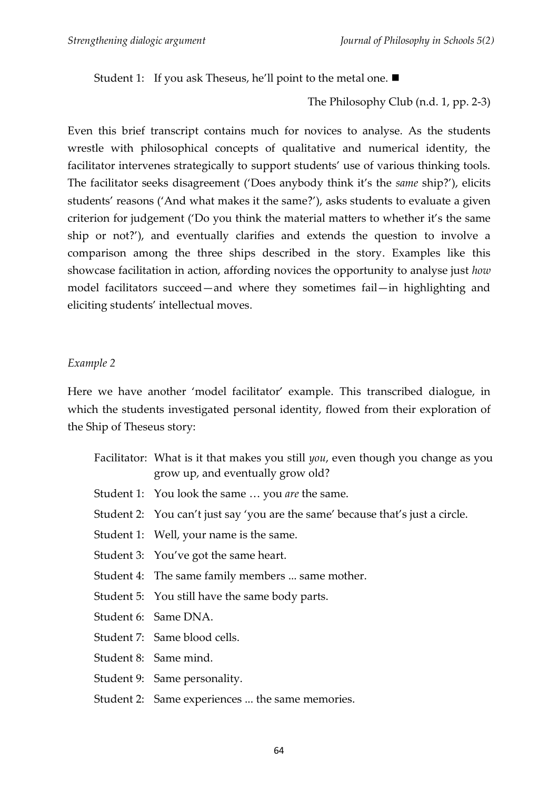Student 1: If you ask Theseus, he'll point to the metal one. ■

#### The Philosophy Club (n.d. 1, pp. 2-3)

Even this brief transcript contains much for novices to analyse. As the students wrestle with philosophical concepts of qualitative and numerical identity, the facilitator intervenes strategically to support students' use of various thinking tools. The facilitator seeks disagreement ('Does anybody think it's the *same* ship?'), elicits students' reasons ('And what makes it the same?'), asks students to evaluate a given criterion for judgement ('Do you think the material matters to whether it's the same ship or not?'), and eventually clarifies and extends the question to involve a comparison among the three ships described in the story. Examples like this showcase facilitation in action, affording novices the opportunity to analyse just *how* model facilitators succeed—and where they sometimes fail—in highlighting and eliciting students' intellectual moves.

#### *Example 2*

Here we have another 'model facilitator' example. This transcribed dialogue, in which the students investigated personal identity, flowed from their exploration of the Ship of Theseus story:

| Facilitator: What is it that makes you still you, even though you change as you<br>grow up, and eventually grow old? |  |
|----------------------------------------------------------------------------------------------------------------------|--|
| Student 1: You look the same  you <i>are</i> the same.                                                               |  |
| Student 2: You can't just say 'you are the same' because that's just a circle.                                       |  |
| Student 1: Well, your name is the same.                                                                              |  |
| Student 3: You've got the same heart.                                                                                |  |
| Student 4: The same family members  same mother.                                                                     |  |
| Student 5: You still have the same body parts.                                                                       |  |
| Student 6: Same DNA.                                                                                                 |  |
| Student 7: Same blood cells.                                                                                         |  |
| Student 8: Same mind.                                                                                                |  |
| Student 9: Same personality.                                                                                         |  |
| Student 2: Same experiences  the same memories.                                                                      |  |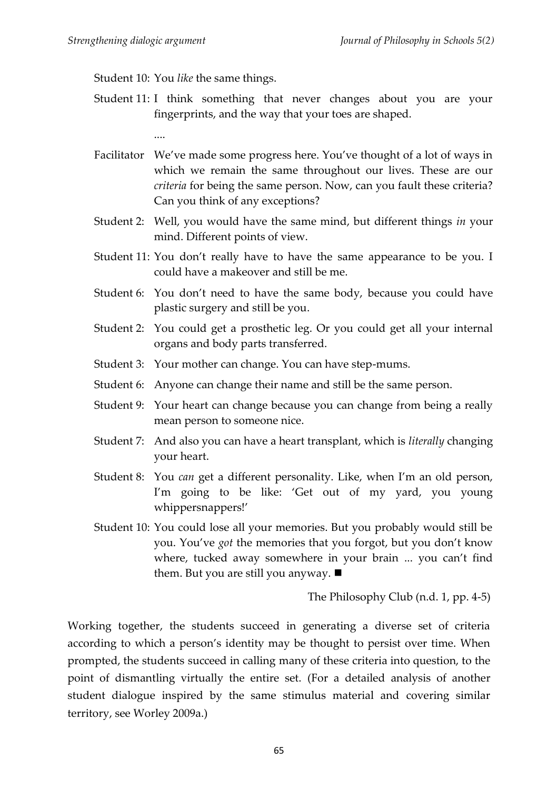Student 10: You *like* the same things.

Student 11: I think something that never changes about you are your fingerprints, and the way that your toes are shaped.

....

- Facilitator We've made some progress here. You've thought of a lot of ways in which we remain the same throughout our lives. These are our *criteria* for being the same person. Now, can you fault these criteria? Can you think of any exceptions?
- Student 2: Well, you would have the same mind, but different things *in* your mind. Different points of view.
- Student 11: You don't really have to have the same appearance to be you. I could have a makeover and still be me.
- Student 6: You don't need to have the same body, because you could have plastic surgery and still be you.
- Student 2: You could get a prosthetic leg. Or you could get all your internal organs and body parts transferred.
- Student 3: Your mother can change. You can have step-mums.
- Student 6: Anyone can change their name and still be the same person.
- Student 9: Your heart can change because you can change from being a really mean person to someone nice.
- Student 7: And also you can have a heart transplant, which is *literally* changing your heart.
- Student 8: You *can* get a different personality. Like, when I'm an old person, I'm going to be like: 'Get out of my yard, you young whippersnappers!'
- Student 10: You could lose all your memories. But you probably would still be you. You've *got* the memories that you forgot, but you don't know where, tucked away somewhere in your brain ... you can't find them. But you are still you anyway.  $\blacksquare$

The Philosophy Club (n.d. 1, pp. 4-5)

Working together, the students succeed in generating a diverse set of criteria according to which a person's identity may be thought to persist over time. When prompted, the students succeed in calling many of these criteria into question, to the point of dismantling virtually the entire set. (For a detailed analysis of another student dialogue inspired by the same stimulus material and covering similar territory, see Worley 2009a.)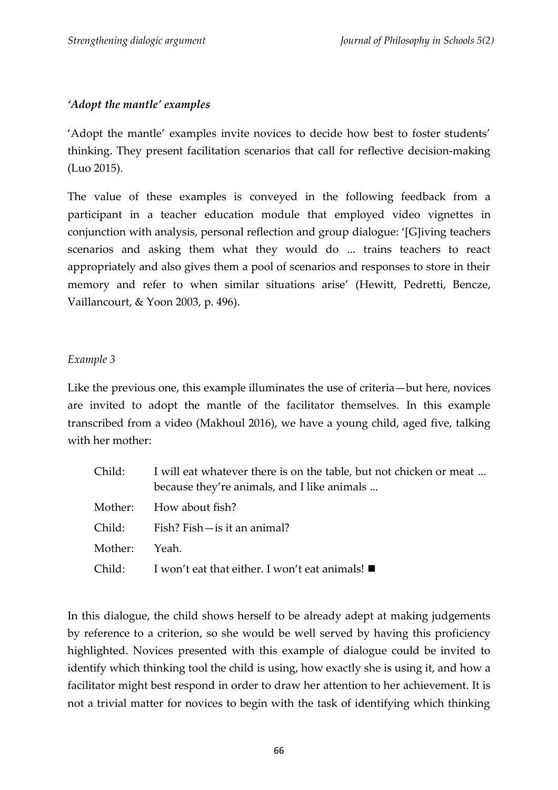### *'Adopt the mantle' examples*

'Adopt the mantle' examples invite novices to decide how best to foster students' thinking. They present facilitation scenarios that call for reflective decision-making (Luo 2015).

The value of these examples is conveyed in the following feedback from a participant in a teacher education module that employed video vignettes in conjunction with analysis, personal reflection and group dialogue: '[G]iving teachers scenarios and asking them what they would do ... trains teachers to react appropriately and also gives them a pool of scenarios and responses to store in their memory and refer to when similar situations arise' (Hewitt, Pedretti, Bencze, Vaillancourt, & Yoon 2003, p. 496).

### *Example 3*

Like the previous one, this example illuminates the use of criteria—but here, novices are invited to adopt the mantle of the facilitator themselves. In this example transcribed from a video (Makhoul 2016), we have a young child, aged five, talking with her mother:

| Child:        | I will eat whatever there is on the table, but not chicken or meat<br>because they're animals, and I like animals |  |
|---------------|-------------------------------------------------------------------------------------------------------------------|--|
|               | Mother: How about fish?                                                                                           |  |
|               | Child: Fish? Fish—is it an animal?                                                                                |  |
| Mother: Yeah. |                                                                                                                   |  |
| Child:        | I won't eat that either. I won't eat animals! ■                                                                   |  |

In this dialogue, the child shows herself to be already adept at making judgements by reference to a criterion, so she would be well served by having this proficiency highlighted. Novices presented with this example of dialogue could be invited to identify which thinking tool the child is using, how exactly she is using it, and how a facilitator might best respond in order to draw her attention to her achievement. It is not a trivial matter for novices to begin with the task of identifying which thinking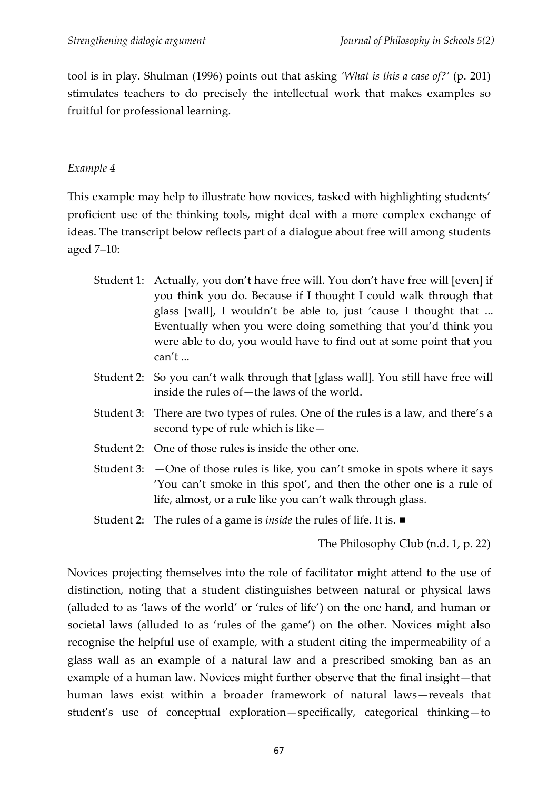tool is in play. Shulman (1996) points out that asking *'What is this a case of?'* (p. 201) stimulates teachers to do precisely the intellectual work that makes examples so fruitful for professional learning.

## *Example 4*

This example may help to illustrate how novices, tasked with highlighting students' proficient use of the thinking tools, might deal with a more complex exchange of ideas. The transcript below reflects part of a dialogue about free will among students aged 7–10:

- Student 1: Actually, you don't have free will. You don't have free will [even] if you think you do. Because if I thought I could walk through that glass [wall], I wouldn't be able to, just 'cause I thought that ... Eventually when you were doing something that you'd think you were able to do, you would have to find out at some point that you can't ...
- Student 2: So you can't walk through that [glass wall]. You still have free will inside the rules of—the laws of the world.
- Student 3: There are two types of rules. One of the rules is a law, and there's a second type of rule which is like—
- Student 2: One of those rules is inside the other one.
- Student 3: —One of those rules is like, you can't smoke in spots where it says 'You can't smoke in this spot', and then the other one is a rule of life, almost, or a rule like you can't walk through glass.
- Student 2: The rules of a game is *inside* the rules of life. It is.

The Philosophy Club (n.d. 1, p. 22)

Novices projecting themselves into the role of facilitator might attend to the use of distinction, noting that a student distinguishes between natural or physical laws (alluded to as 'laws of the world' or 'rules of life') on the one hand, and human or societal laws (alluded to as 'rules of the game') on the other. Novices might also recognise the helpful use of example, with a student citing the impermeability of a glass wall as an example of a natural law and a prescribed smoking ban as an example of a human law. Novices might further observe that the final insight—that human laws exist within a broader framework of natural laws—reveals that student's use of conceptual exploration—specifically, categorical thinking—to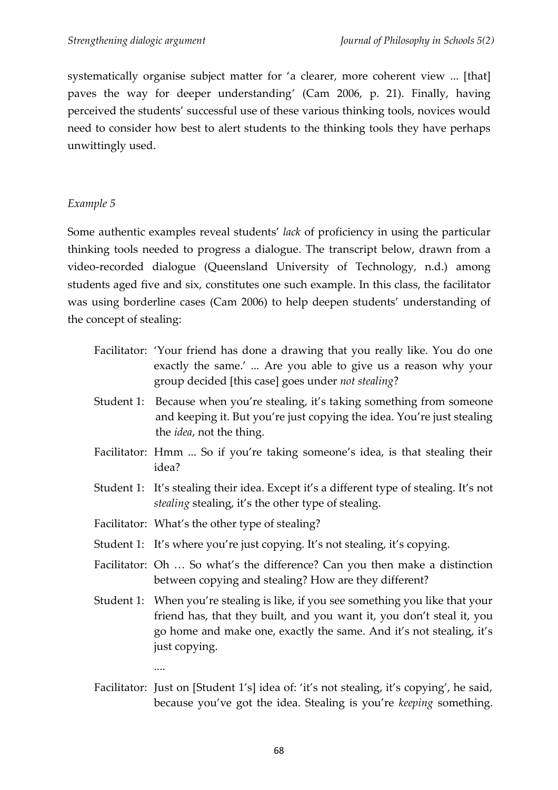systematically organise subject matter for 'a clearer, more coherent view ... [that] paves the way for deeper understanding' (Cam 2006, p. 21). Finally, having perceived the students' successful use of these various thinking tools, novices would need to consider how best to alert students to the thinking tools they have perhaps unwittingly used.

## *Example 5*

Some authentic examples reveal students' *lack* of proficiency in using the particular thinking tools needed to progress a dialogue. The transcript below, drawn from a video-recorded dialogue (Queensland University of Technology, n.d.) among students aged five and six, constitutes one such example. In this class, the facilitator was using borderline cases (Cam 2006) to help deepen students' understanding of the concept of stealing:

- Facilitator: 'Your friend has done a drawing that you really like. You do one exactly the same.' ... Are you able to give us a reason why your group decided [this case] goes under *not stealing*?
- Student 1: Because when you're stealing, it's taking something from someone and keeping it. But you're just copying the idea. You're just stealing the *idea*, not the thing.
- Facilitator: Hmm ... So if you're taking someone's idea, is that stealing their idea?
- Student 1: It's stealing their idea. Except it's a different type of stealing. It's not *stealing* stealing, it's the other type of stealing.
- Facilitator: What's the other type of stealing?
- Student 1: It's where you're just copying. It's not stealing, it's copying.
- Facilitator: Oh ... So what's the difference? Can you then make a distinction between copying and stealing? How are they different?
- Student 1: When you're stealing is like, if you see something you like that your friend has, that they built, and you want it, you don't steal it, you go home and make one, exactly the same. And it's not stealing, it's just copying.

....

Facilitator: Just on [Student 1's] idea of: 'it's not stealing, it's copying', he said, because you've got the idea. Stealing is you're *keeping* something.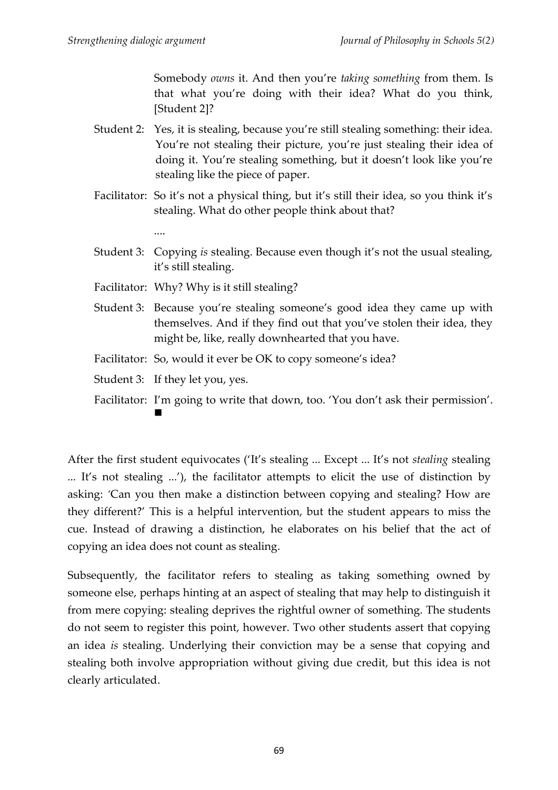Somebody *owns* it. And then you're *taking something* from them. Is that what you're doing with their idea? What do you think, [Student 2]?

- Student 2: Yes, it is stealing, because you're still stealing something: their idea. You're not stealing their picture, you're just stealing their idea of doing it. You're stealing something, but it doesn't look like you're stealing like the piece of paper.
- Facilitator: So it's not a physical thing, but it's still their idea, so you think it's stealing. What do other people think about that?

....

- Student 3: Copying *is* stealing. Because even though it's not the usual stealing, it's still stealing.
- Facilitator: Why? Why is it still stealing?
- Student 3: Because you're stealing someone's good idea they came up with themselves. And if they find out that you've stolen their idea, they might be, like, really downhearted that you have.
- Facilitator: So, would it ever be OK to copy someone's idea?
- Student 3: If they let you, yes.
- Facilitator: I'm going to write that down, too. 'You don't ask their permission'.

After the first student equivocates ('It's stealing ... Except ... It's not *stealing* stealing ... It's not stealing ...'), the facilitator attempts to elicit the use of distinction by asking: *'*Can you then make a distinction between copying and stealing? How are they different?' This is a helpful intervention, but the student appears to miss the cue. Instead of drawing a distinction, he elaborates on his belief that the act of copying an idea does not count as stealing.

Subsequently, the facilitator refers to stealing as taking something owned by someone else, perhaps hinting at an aspect of stealing that may help to distinguish it from mere copying: stealing deprives the rightful owner of something. The students do not seem to register this point, however. Two other students assert that copying an idea *is* stealing. Underlying their conviction may be a sense that copying and stealing both involve appropriation without giving due credit, but this idea is not clearly articulated.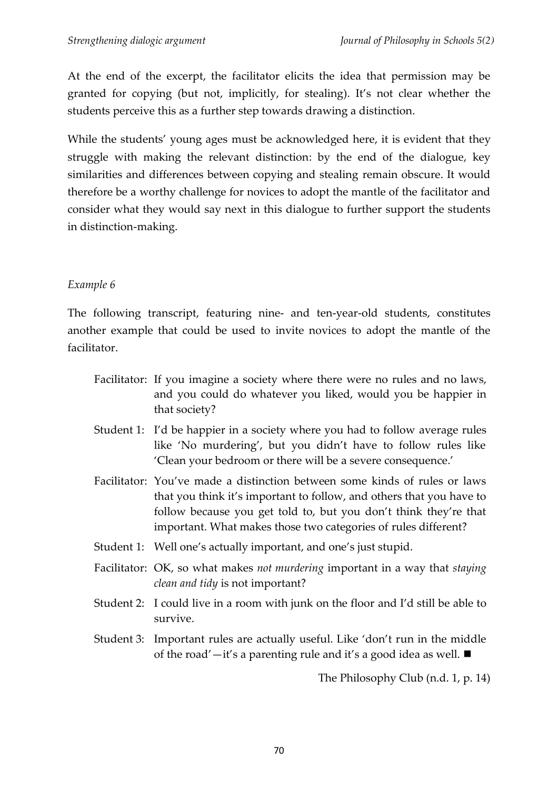At the end of the excerpt, the facilitator elicits the idea that permission may be granted for copying (but not, implicitly, for stealing). It's not clear whether the students perceive this as a further step towards drawing a distinction.

While the students' young ages must be acknowledged here, it is evident that they struggle with making the relevant distinction: by the end of the dialogue, key similarities and differences between copying and stealing remain obscure. It would therefore be a worthy challenge for novices to adopt the mantle of the facilitator and consider what they would say next in this dialogue to further support the students in distinction-making.

### *Example 6*

The following transcript, featuring nine- and ten-year-old students, constitutes another example that could be used to invite novices to adopt the mantle of the facilitator.

- Facilitator: If you imagine a society where there were no rules and no laws, and you could do whatever you liked, would you be happier in that society?
- Student 1: I'd be happier in a society where you had to follow average rules like 'No murdering', but you didn't have to follow rules like 'Clean your bedroom or there will be a severe consequence.'
- Facilitator: You've made a distinction between some kinds of rules or laws that you think it's important to follow, and others that you have to follow because you get told to, but you don't think they're that important. What makes those two categories of rules different?
- Student 1: Well one's actually important, and one's just stupid.
- Facilitator: OK, so what makes *not murdering* important in a way that *staying clean and tidy* is not important?
- Student 2: I could live in a room with junk on the floor and I'd still be able to survive.
- Student 3: Important rules are actually useful. Like 'don't run in the middle of the road'—it's a parenting rule and it's a good idea as well.  $\blacksquare$

The Philosophy Club (n.d. 1, p. 14)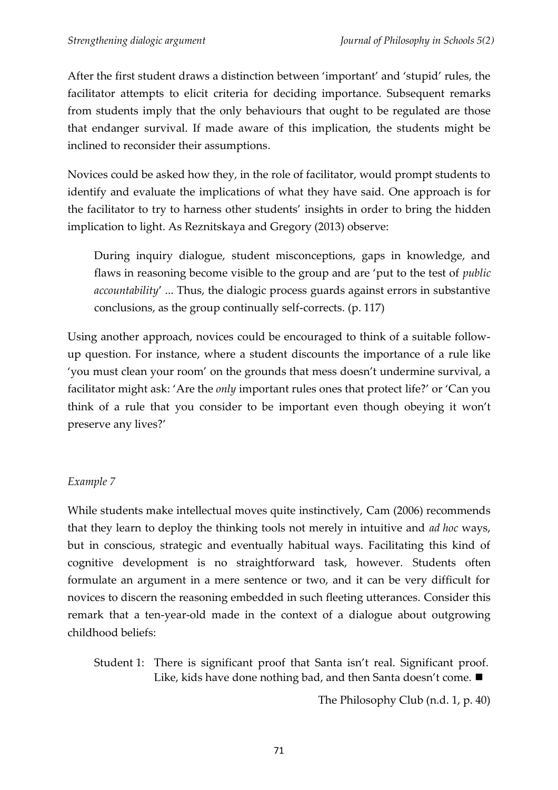After the first student draws a distinction between 'important' and 'stupid' rules, the facilitator attempts to elicit criteria for deciding importance. Subsequent remarks from students imply that the only behaviours that ought to be regulated are those that endanger survival. If made aware of this implication, the students might be inclined to reconsider their assumptions.

Novices could be asked how they, in the role of facilitator, would prompt students to identify and evaluate the implications of what they have said. One approach is for the facilitator to try to harness other students' insights in order to bring the hidden implication to light. As Reznitskaya and Gregory (2013) observe:

During inquiry dialogue, student misconceptions, gaps in knowledge, and flaws in reasoning become visible to the group and are 'put to the test of *public accountability*' ... Thus, the dialogic process guards against errors in substantive conclusions, as the group continually self-corrects. (p. 117)

Using another approach, novices could be encouraged to think of a suitable followup question. For instance, where a student discounts the importance of a rule like 'you must clean your room' on the grounds that mess doesn't undermine survival, a facilitator might ask: 'Are the *only* important rules ones that protect life?' or 'Can you think of a rule that you consider to be important even though obeying it won't preserve any lives?'

## *Example 7*

While students make intellectual moves quite instinctively, Cam (2006) recommends that they learn to deploy the thinking tools not merely in intuitive and *ad hoc* ways, but in conscious, strategic and eventually habitual ways. Facilitating this kind of cognitive development is no straightforward task, however. Students often formulate an argument in a mere sentence or two, and it can be very difficult for novices to discern the reasoning embedded in such fleeting utterances. Consider this remark that a ten-year-old made in the context of a dialogue about outgrowing childhood beliefs:

Student 1: There is significant proof that Santa isn't real. Significant proof. Like, kids have done nothing bad, and then Santa doesn't come. ■

The Philosophy Club (n.d. 1, p. 40)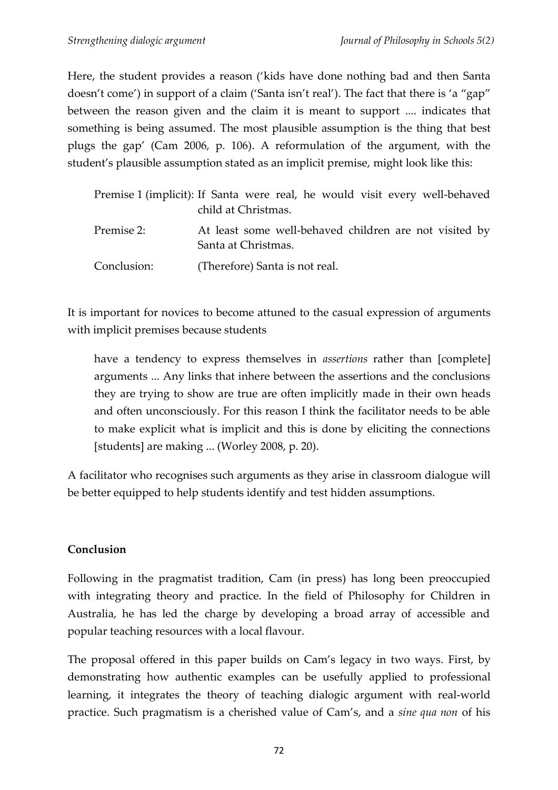Here, the student provides a reason ('kids have done nothing bad and then Santa doesn't come') in support of a claim ('Santa isn't real'). The fact that there is 'a "gap" between the reason given and the claim it is meant to support .... indicates that something is being assumed. The most plausible assumption is the thing that best plugs the gap' (Cam 2006, p. 106). A reformulation of the argument, with the student's plausible assumption stated as an implicit premise, might look like this:

|             | Premise 1 (implicit): If Santa were real, he would visit every well-behaved<br>child at Christmas. |
|-------------|----------------------------------------------------------------------------------------------------|
| Premise 2:  | At least some well-behaved children are not visited by<br>Santa at Christmas.                      |
| Conclusion: | (Therefore) Santa is not real.                                                                     |

It is important for novices to become attuned to the casual expression of arguments with implicit premises because students

have a tendency to express themselves in *assertions* rather than [complete] arguments ... Any links that inhere between the assertions and the conclusions they are trying to show are true are often implicitly made in their own heads and often unconsciously. For this reason I think the facilitator needs to be able to make explicit what is implicit and this is done by eliciting the connections [students] are making ... (Worley 2008, p. 20).

A facilitator who recognises such arguments as they arise in classroom dialogue will be better equipped to help students identify and test hidden assumptions.

## **Conclusion**

Following in the pragmatist tradition, Cam (in press) has long been preoccupied with integrating theory and practice. In the field of Philosophy for Children in Australia, he has led the charge by developing a broad array of accessible and popular teaching resources with a local flavour.

The proposal offered in this paper builds on Cam's legacy in two ways. First, by demonstrating how authentic examples can be usefully applied to professional learning, it integrates the theory of teaching dialogic argument with real-world practice. Such pragmatism is a cherished value of Cam's, and a *sine qua non* of his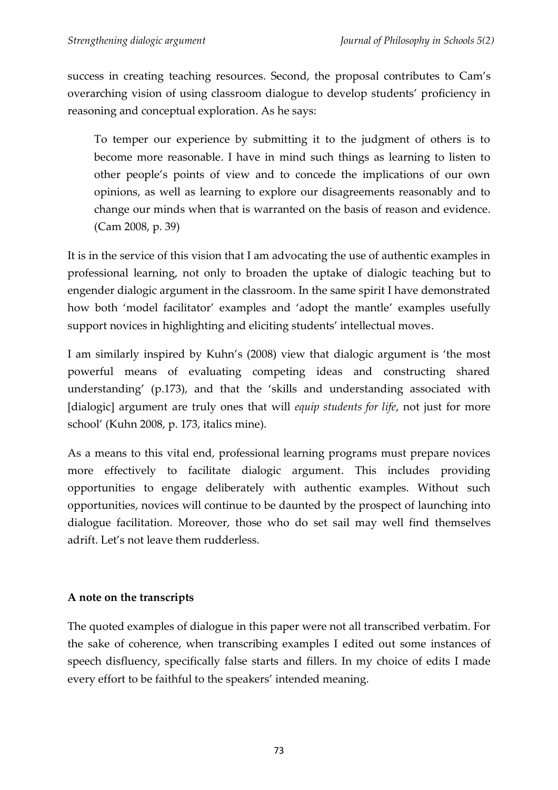success in creating teaching resources. Second, the proposal contributes to Cam's overarching vision of using classroom dialogue to develop students' proficiency in reasoning and conceptual exploration. As he says:

To temper our experience by submitting it to the judgment of others is to become more reasonable. I have in mind such things as learning to listen to other people's points of view and to concede the implications of our own opinions, as well as learning to explore our disagreements reasonably and to change our minds when that is warranted on the basis of reason and evidence. (Cam 2008, p. 39)

It is in the service of this vision that I am advocating the use of authentic examples in professional learning, not only to broaden the uptake of dialogic teaching but to engender dialogic argument in the classroom. In the same spirit I have demonstrated how both 'model facilitator' examples and 'adopt the mantle' examples usefully support novices in highlighting and eliciting students' intellectual moves.

I am similarly inspired by Kuhn's (2008) view that dialogic argument is 'the most powerful means of evaluating competing ideas and constructing shared understanding' (p.173), and that the 'skills and understanding associated with [dialogic] argument are truly ones that will *equip students for life*, not just for more school' (Kuhn 2008, p. 173, italics mine).

As a means to this vital end, professional learning programs must prepare novices more effectively to facilitate dialogic argument. This includes providing opportunities to engage deliberately with authentic examples. Without such opportunities, novices will continue to be daunted by the prospect of launching into dialogue facilitation. Moreover, those who do set sail may well find themselves adrift. Let's not leave them rudderless.

## **A note on the transcripts**

The quoted examples of dialogue in this paper were not all transcribed verbatim. For the sake of coherence, when transcribing examples I edited out some instances of speech disfluency, specifically false starts and fillers. In my choice of edits I made every effort to be faithful to the speakers' intended meaning.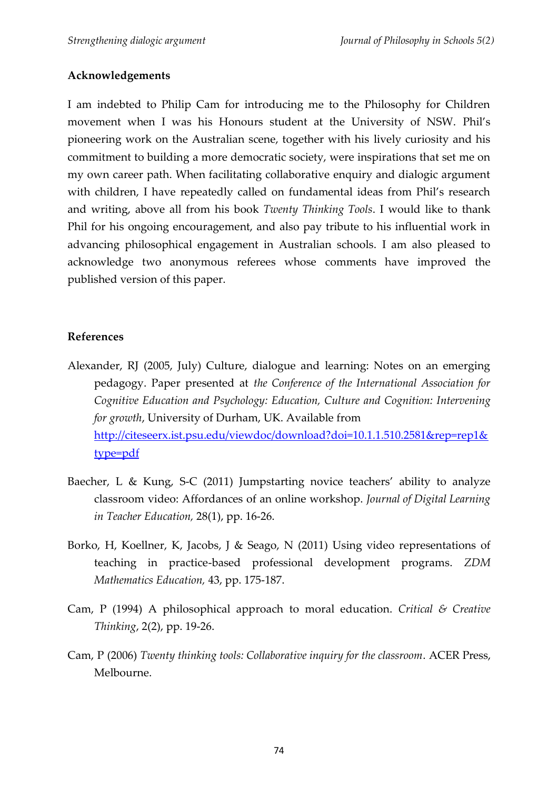### **Acknowledgements**

I am indebted to Philip Cam for introducing me to the Philosophy for Children movement when I was his Honours student at the University of NSW. Phil's pioneering work on the Australian scene, together with his lively curiosity and his commitment to building a more democratic society, were inspirations that set me on my own career path. When facilitating collaborative enquiry and dialogic argument with children, I have repeatedly called on fundamental ideas from Phil's research and writing, above all from his book *Twenty Thinking Tools*. I would like to thank Phil for his ongoing encouragement, and also pay tribute to his influential work in advancing philosophical engagement in Australian schools. I am also pleased to acknowledge two anonymous referees whose comments have improved the published version of this paper.

### **References**

- Alexander, RJ (2005, July) Culture, dialogue and learning: Notes on an emerging pedagogy. Paper presented at *the Conference of the International Association for Cognitive Education and Psychology: Education, Culture and Cognition: Intervening for growth*, University of Durham, UK. Available from [http://citeseerx.ist.psu.edu/viewdoc/download?doi=10.1.1.510.2581&rep=rep1&](http://citeseerx.ist.psu.edu/viewdoc/download?doi=10.1.1.510.2581&rep=rep1&type=pdf) [type=pdf](http://citeseerx.ist.psu.edu/viewdoc/download?doi=10.1.1.510.2581&rep=rep1&type=pdf)
- Baecher, L & Kung, S-C (2011) Jumpstarting novice teachers' ability to analyze classroom video: Affordances of an online workshop. *Journal of Digital Learning in Teacher Education,* 28(1), pp. 16-26.
- Borko, H, Koellner, K, Jacobs, J & Seago, N (2011) Using video representations of teaching in practice-based professional development programs. *ZDM Mathematics Education,* 43, pp. 175-187.
- Cam, P (1994) A philosophical approach to moral education. *Critical & Creative Thinking*, 2(2), pp. 19-26.
- Cam, P (2006) *Twenty thinking tools: Collaborative inquiry for the classroom*. ACER Press, Melbourne.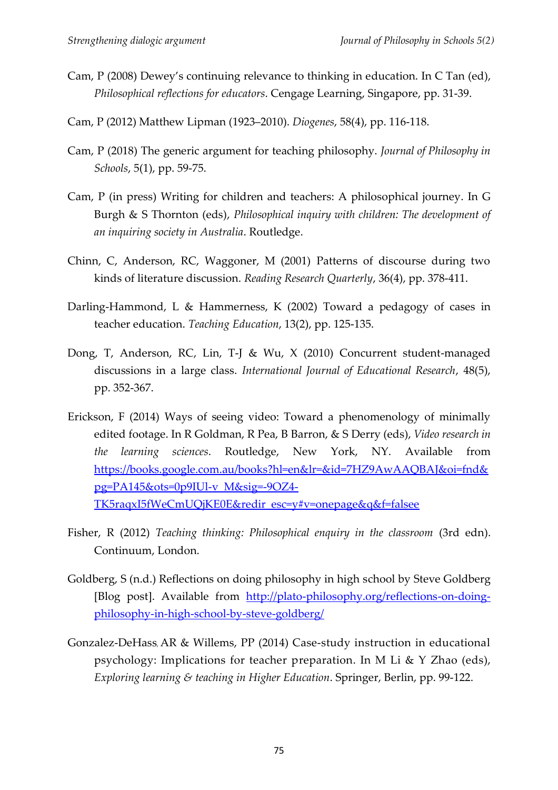- Cam, P (2008) Dewey's continuing relevance to thinking in education. In C Tan (ed), *Philosophical reflections for educators*. Cengage Learning, Singapore, pp. 31-39.
- Cam, P (2012) Matthew Lipman (1923–2010). *Diogenes*, 58(4), pp. 116-118.
- Cam, P (2018) The generic argument for teaching philosophy. *Journal of Philosophy in Schools*, 5(1), pp. 59-75.
- Cam, P (in press) Writing for children and teachers: A philosophical journey. In G Burgh & S Thornton (eds), *Philosophical inquiry with children: The development of an inquiring society in Australia*. Routledge.
- Chinn, C, Anderson, RC, Waggoner, M (2001) Patterns of discourse during two kinds of literature discussion. *Reading Research Quarterly*, 36(4), pp. 378-411.
- Darling-Hammond, L & Hammerness, K (2002) Toward a pedagogy of cases in teacher education. *Teaching Education*, 13(2), pp. 125-135.
- Dong, T, Anderson, RC, Lin, T-J & Wu, X (2010) Concurrent student-managed discussions in a large class. *International Journal of Educational Research*, 48(5), pp. 352-367.
- Erickson, F (2014) Ways of seeing video: Toward a phenomenology of minimally edited footage. In R Goldman, R Pea, B Barron, & S Derry (eds), *Video research in the learning sciences*. Routledge, New York, NY. Available from [https://books.google.com.au/books?hl=en&lr=&id=7HZ9AwAAQBAJ&oi=fnd&](https://books.google.com.au/books?hl=en&lr=&id=7HZ9AwAAQBAJ&oi=fnd&pg=PA145&ots=0p9IUl-v_M&sig=-9OZ4-TK5raqxI5fWeCmUQjKE0E&redir_esc=y#v=onepage&q&f=falsee) [pg=PA145&ots=0p9IUl-v\\_M&sig=-9OZ4-](https://books.google.com.au/books?hl=en&lr=&id=7HZ9AwAAQBAJ&oi=fnd&pg=PA145&ots=0p9IUl-v_M&sig=-9OZ4-TK5raqxI5fWeCmUQjKE0E&redir_esc=y#v=onepage&q&f=falsee) [TK5raqxI5fWeCmUQjKE0E&redir\\_esc=y#v=onepage&q&f=falsee](https://books.google.com.au/books?hl=en&lr=&id=7HZ9AwAAQBAJ&oi=fnd&pg=PA145&ots=0p9IUl-v_M&sig=-9OZ4-TK5raqxI5fWeCmUQjKE0E&redir_esc=y#v=onepage&q&f=falsee)
- Fisher, R (2012) *Teaching thinking: Philosophical enquiry in the classroom* (3rd edn). Continuum, London.
- Goldberg, S (n.d.) Reflections on doing philosophy in high school by Steve Goldberg [Blog post]. Available from [http://plato-philosophy.org/reflections-on-doing](http://plato-philosophy.org/reflections-on-doing-philosophy-in-high-school-by-steve-goldberg/)[philosophy-in-high-school-by-steve-goldberg/](http://plato-philosophy.org/reflections-on-doing-philosophy-in-high-school-by-steve-goldberg/)
- Gonzalez-DeHass, AR & Willems, PP (2014) Case-study instruction in educational psychology: Implications for teacher preparation. In M Li & Y Zhao (eds), *Exploring learning & teaching in Higher Education*. Springer, Berlin, pp. 99-122.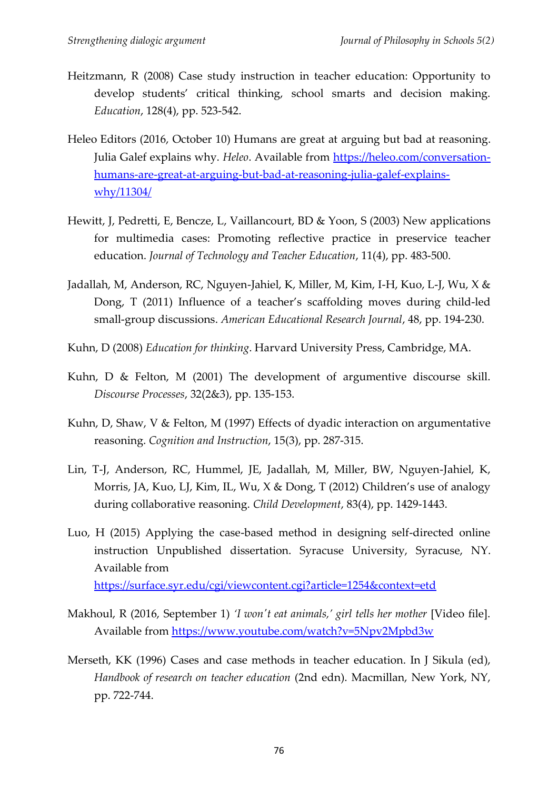- Heitzmann, R (2008) Case study instruction in teacher education: Opportunity to develop students' critical thinking, school smarts and decision making. *Education*, 128(4), pp. 523-542.
- Heleo Editors (2016, October 10) Humans are great at arguing but bad at reasoning. Julia Galef explains why. *Heleo*. Available from [https://heleo.com/conversation](https://heleo.com/conversation-humans-are-great-at-arguing-but-bad-at-reasoning-julia-galef-explains-why/11304/)[humans-are-great-at-arguing-but-bad-at-reasoning-julia-galef-explains](https://heleo.com/conversation-humans-are-great-at-arguing-but-bad-at-reasoning-julia-galef-explains-why/11304/)[why/11304/](https://heleo.com/conversation-humans-are-great-at-arguing-but-bad-at-reasoning-julia-galef-explains-why/11304/)
- Hewitt, J, Pedretti, E, Bencze, L, Vaillancourt, BD & Yoon, S (2003) New applications for multimedia cases: Promoting reflective practice in preservice teacher education. *Journal of Technology and Teacher Education*, 11(4), pp. 483-500.
- Jadallah, M, Anderson, RC, Nguyen-Jahiel, K, Miller, M, Kim, I-H, Kuo, L-J, Wu, X & Dong, T (2011) Influence of a teacher's scaffolding moves during child-led small-group discussions. *American Educational Research Journal*, 48, pp. 194-230.
- Kuhn, D (2008) *Education for thinking*. Harvard University Press, Cambridge, MA.
- Kuhn, D & Felton, M (2001) The development of argumentive discourse skill. *Discourse Processes*, 32(2&3), pp. 135-153.
- Kuhn, D, Shaw, V & Felton, M (1997) Effects of dyadic interaction on argumentative reasoning. *Cognition and Instruction*, 15(3), pp. 287-315.
- Lin, T-J, Anderson, RC, Hummel, JE, Jadallah, M, Miller, BW, Nguyen-Jahiel, K, Morris, JA, Kuo, LJ, Kim, IL, Wu, X & Dong, T (2012) Children's use of analogy during collaborative reasoning. *Child Development*, 83(4), pp. 1429-1443.
- Luo, H (2015) Applying the case-based method in designing self-directed online instruction Unpublished dissertation. Syracuse University, Syracuse, NY. Available from <https://surface.syr.edu/cgi/viewcontent.cgi?article=1254&context=etd>
- Makhoul, R (2016, September 1) *'I won't eat animals,' girl tells her mother* [Video file]. Available from <https://www.youtube.com/watch?v=5Npv2Mpbd3w>
- Merseth, KK (1996) Cases and case methods in teacher education. In J Sikula (ed), *Handbook of research on teacher education* (2nd edn). Macmillan, New York, NY, pp. 722-744.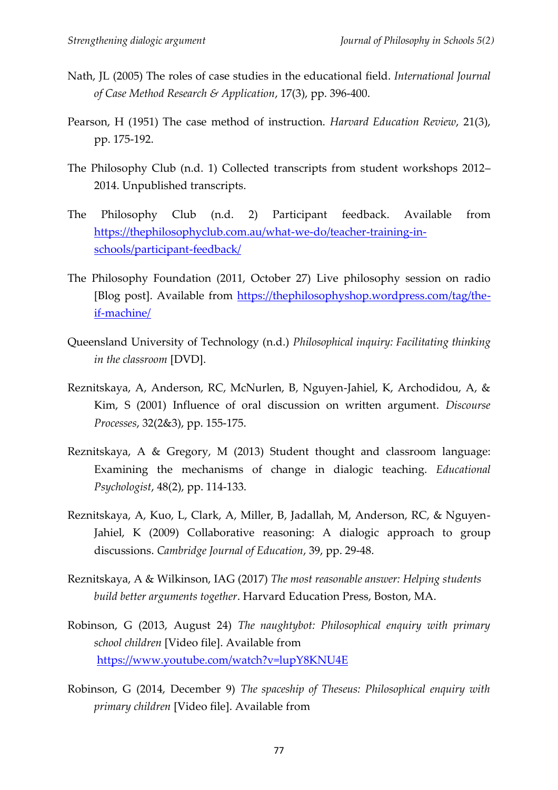- Nath, JL (2005) The roles of case studies in the educational field. *International Journal of Case Method Research & Application*, 17(3), pp. 396-400.
- Pearson, H (1951) The case method of instruction. *Harvard Education Review*, 21(3), pp. 175-192.
- The Philosophy Club (n.d. 1) Collected transcripts from student workshops 2012– 2014. Unpublished transcripts.
- The Philosophy Club (n.d. 2) Participant feedback. Available from [https://thephilosophyclub.com.au/what-we-do/teacher-training-in](https://thephilosophyclub.com.au/what-we-do/teacher-training-in-schools/participant-feedback/)[schools/participant-feedback/](https://thephilosophyclub.com.au/what-we-do/teacher-training-in-schools/participant-feedback/)
- The Philosophy Foundation (2011, October 27) Live philosophy session on radio [Blog post]. Available from [https://thephilosophyshop.wordpress.com/tag/the](https://thephilosophyshop.wordpress.com/tag/the-if-machine/)[if-machine/](https://thephilosophyshop.wordpress.com/tag/the-if-machine/)
- Queensland University of Technology (n.d.) *Philosophical inquiry: Facilitating thinking in the classroom* [DVD].
- Reznitskaya, A, Anderson, RC, McNurlen, B, Nguyen-Jahiel, K, Archodidou, A, & Kim, S (2001) Influence of oral discussion on written argument. *Discourse Processes*, 32(2&3), pp. 155-175.
- Reznitskaya, A & Gregory, M (2013) Student thought and classroom language: Examining the mechanisms of change in dialogic teaching. *Educational Psychologist*, 48(2), pp. 114-133.
- Reznitskaya, A, Kuo, L, Clark, A, Miller, B, Jadallah, M, Anderson, RC, & Nguyen-Jahiel, K (2009) Collaborative reasoning: A dialogic approach to group discussions. *Cambridge Journal of Education*, 39, pp. 29-48.
- Reznitskaya, A & Wilkinson, IAG (2017) *The most reasonable answer: Helping students build better arguments together*. Harvard Education Press, Boston, MA.
- Robinson, G (2013, August 24) *The naughtybot: Philosophical enquiry with primary school children* [Video file]. Available from <https://www.youtube.com/watch?v=lupY8KNU4E>
- Robinson, G (2014, December 9) *The spaceship of Theseus: Philosophical enquiry with primary children* [Video file]. Available from